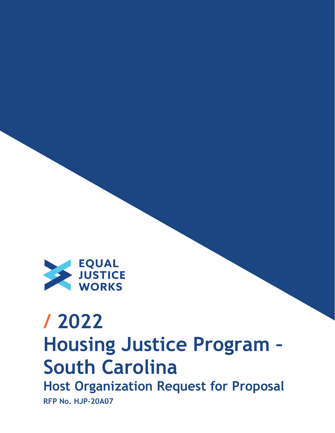

# **/ 2022 Housing Justice Program – South Carolina Host Organization Request for Proposal**

**RFP No. HJP-20A07**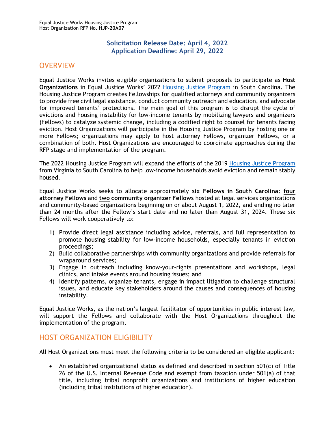#### **Solicitation Release Date: April 4, 2022 Application Deadline: April 29, 2022**

# <span id="page-1-0"></span>**OVERVIEW**

Equal Justice Works invites eligible organizations to submit proposals to participate as **Host Organizations** in Equal Justice Works' 2022 [Housing Justice](https://www.equaljusticeworks.org/news/building-bridges-between-legal-providers-to-disrupt-the-cycle-of-evictions-in-richmond-virginia/) Program in South Carolina. The Housing Justice Program creates Fellowships for qualified attorneys and community organizers to provide free civil legal assistance, conduct community outreach and education, and advocate for improved tenants' protections. The main goal of this program is to disrupt the cycle of evictions and housing instability for low-income tenants by mobilizing lawyers and organizers (Fellows) to catalyze systemic change, including a codified right to counsel for tenants facing eviction. Host Organizations will participate in the Housing Justice Program by hosting one or more Fellows; organizations may apply to host attorney Fellows, organizer Fellows, or a combination of both. Host Organizations are encouraged to coordinate approaches during the RFP stage and implementation of the program.

The 2022 Housing Justice Program will expand the efforts of the 2019 [Housing Justice Program](https://www.equaljusticeworks.org/news/building-bridges-between-legal-providers-to-disrupt-the-cycle-of-evictions-in-richmond-virginia/) from Virginia to South Carolina to help low‐income households avoid eviction and remain stably housed.

Equal Justice Works seeks to allocate approximately **six Fellows in South Carolina: four attorney Fellows** and **two community organizer Fellows** hosted at legal services organizations and community-based organizations beginning on or about August 1, 2022, and ending no later than 24 months after the Fellow's start date and no later than August 31, 2024. These six Fellows will work cooperatively to:

- 1) Provide direct legal assistance including advice, referrals, and full representation to promote housing stability for low-income households, especially tenants in eviction proceedings;
- 2) Build collaborative partnerships with community organizations and provide referrals for wraparound services;
- 3) Engage in outreach including know-your-rights presentations and workshops, legal clinics, and intake events around housing issues; and
- 4) Identify patterns, organize tenants, engage in impact litigation to challenge structural issues, and educate key stakeholders around the causes and consequences of housing instability.

Equal Justice Works, as the nation's largest facilitator of opportunities in public interest law, will support the Fellows and collaborate with the Host Organizations throughout the implementation of the program.

# <span id="page-1-1"></span>HOST ORGANIZATION ELIGIBILITY

All Host Organizations must meet the following criteria to be considered an eligible applicant:

• An established organizational status as defined and described in section 501(c) of Title 26 of the U.S. Internal Revenue Code and exempt from taxation under 501(a) of that title, including tribal nonprofit organizations and institutions of higher education (including tribal institutions of higher education).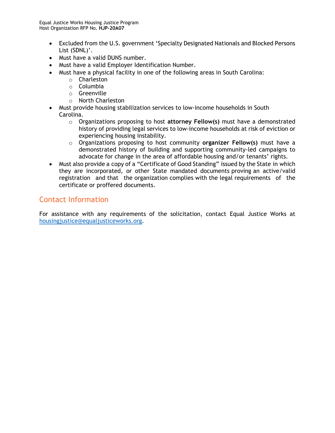- Excluded from the U.S. government 'Specialty Designated Nationals and Blocked Persons List (SDNL)'.
- Must have a valid DUNS number.
- Must have a valid Employer Identification Number.
- Must have a physical facility in one of the following areas in South Carolina:
	- o Charleston
	- o Columbia
	- o Greenville
	- o North Charleston
- Must provide housing stabilization services to low-income households in South Carolina.
	- o Organizations proposing to host **attorney Fellow(s)** must have a demonstrated history of providing legal services to low-income households at risk of eviction or experiencing housing instability.
	- o Organizations proposing to host community **organizer Fellow(s)** must have a demonstrated history of building and supporting community-led campaigns to advocate for change in the area of affordable housing and/or tenants' rights.
- Must also provide a copy of a "Certificate of Good Standing" issued by the State in which they are incorporated, or other State mandated documents proving an active/valid registration and that the organization complies with the legal requirements of the certificate or proffered documents.

# Contact Information

For assistance with any requirements of the solicitation, contact Equal Justice Works at [housingjustice@equaljusticeworks.org.](mailto:housingjustice@equaljusticeworks.org)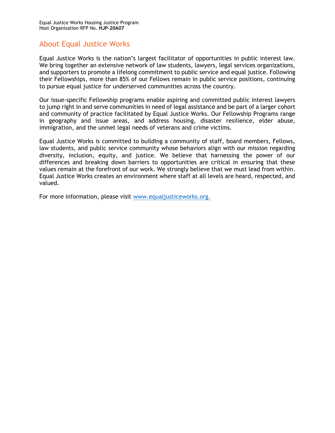# About Equal Justice Works

Equal Justice Works is the nation's largest facilitator of opportunities in public interest law. We bring together an extensive network of law students, lawyers, legal services organizations, and supporters to promote a lifelong commitment to public service and equal justice. Following their Fellowships, more than 85% of our Fellows remain in public service positions, continuing to pursue equal justice for underserved communities across the country.

Our issue-specific Fellowship programs enable aspiring and committed public interest lawyers to jump right in and serve communities in need of legal assistance and be part of a larger cohort and community of practice facilitated by Equal Justice Works. Our Fellowship Programs range in geography and issue areas, and address housing, disaster resilience, elder abuse, immigration, and the unmet legal needs of veterans and crime victims.

Equal Justice Works is committed to building a community of staff, board members, Fellows, law students, and public service community whose behaviors align with our mission regarding diversity, inclusion, equity, and justice. We believe that harnessing the power of our differences and breaking down barriers to opportunities are critical in ensuring that these values remain at the forefront of our work. We strongly believe that we must lead from within. Equal Justice Works creates an environment where staff at all levels are heard, respected, and valued.

For more information, please visit [www.equaljusticeworks.org.](http://www.equaljusticeworks.org/)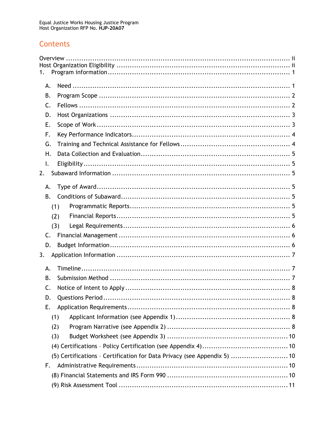# Contents

| 1. |                                                                          |
|----|--------------------------------------------------------------------------|
| А. |                                                                          |
| В. |                                                                          |
| C. |                                                                          |
| D. |                                                                          |
| Ε. |                                                                          |
| F. |                                                                          |
| G. |                                                                          |
| Η. |                                                                          |
| I. |                                                                          |
| 2. |                                                                          |
| А. |                                                                          |
| B. |                                                                          |
|    | (1)                                                                      |
|    | (2)                                                                      |
|    | (3)                                                                      |
| C. |                                                                          |
| D. |                                                                          |
| 3. |                                                                          |
| А. |                                                                          |
| B. |                                                                          |
| C. |                                                                          |
| D. |                                                                          |
| Е. |                                                                          |
|    | (1)                                                                      |
|    | (2)                                                                      |
|    | (3)                                                                      |
|    |                                                                          |
|    | (5) Certifications - Certification for Data Privacy (see Appendix 5)  10 |
| F. |                                                                          |
|    |                                                                          |
|    |                                                                          |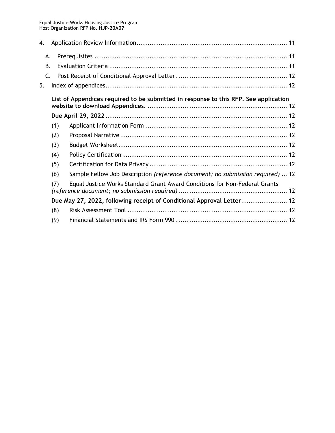| 4.                                                                                   |     |                                                                                |  |  |  |  |
|--------------------------------------------------------------------------------------|-----|--------------------------------------------------------------------------------|--|--|--|--|
|                                                                                      | А.  |                                                                                |  |  |  |  |
|                                                                                      | В.  |                                                                                |  |  |  |  |
|                                                                                      | C.  |                                                                                |  |  |  |  |
| 5.                                                                                   |     |                                                                                |  |  |  |  |
| List of Appendices required to be submitted in response to this RFP. See application |     |                                                                                |  |  |  |  |
|                                                                                      |     |                                                                                |  |  |  |  |
|                                                                                      | (1) |                                                                                |  |  |  |  |
|                                                                                      | (2) |                                                                                |  |  |  |  |
|                                                                                      | (3) |                                                                                |  |  |  |  |
|                                                                                      | (4) |                                                                                |  |  |  |  |
|                                                                                      | (5) |                                                                                |  |  |  |  |
|                                                                                      | (6) | Sample Fellow Job Description (reference document; no submission required)  12 |  |  |  |  |
|                                                                                      | (7) | Equal Justice Works Standard Grant Award Conditions for Non-Federal Grants     |  |  |  |  |
|                                                                                      |     | Due May 27, 2022, following receipt of Conditional Approval Letter  12         |  |  |  |  |
|                                                                                      | (8) |                                                                                |  |  |  |  |
|                                                                                      | (9) |                                                                                |  |  |  |  |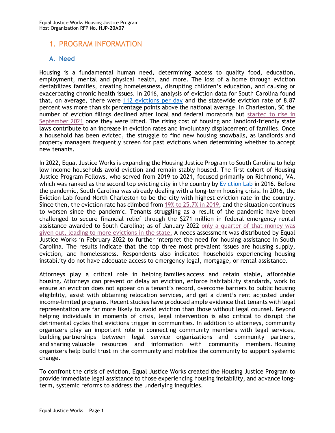## <span id="page-6-0"></span>1. PROGRAM INFORMATION

#### <span id="page-6-1"></span>**A. Need**

Housing is a fundamental human need, determining access to quality food, education, employment, mental and physical health, and more. The loss of a home through eviction destabilizes families, creating homelessness, disrupting children's education, and causing or exacerbating chronic health issues. In 2016, analysis of eviction data for South Carolina found that, on average, there were [112 evictions per day](https://evictionlab.org/map/#/2016?geography=states&bounds=-166.508,11.232,-51.14,61.209&type=er&locations=45,-80.897,33.943) and the statewide eviction rate of 8.87 percent was more than six percentage points above the national average. In Charleston, SC the number of eviction filings declined after local and federal moratoria but [started to rise](https://evictionlab.org/eviction-tracking/charleston-sc/?msclkid=423d01c9aea011ec977e7a1e0ffd4171) in [September 2021](https://evictionlab.org/eviction-tracking/charleston-sc/?msclkid=423d01c9aea011ec977e7a1e0ffd4171) once they were lifted. The rising cost of housing and landlord-friendly state laws contribute to an increase in eviction rates and involuntary displacement of families. Once a household has been evicted, the struggle to find new housing snowballs, as landlords and property managers frequently screen for past evictions when determining whether to accept new tenants.

In 2022, Equal Justice Works is expanding the Housing Justice Program to South Carolina to help low‐income households avoid eviction and remain stably housed. The first cohort of Housing Justice Program Fellows, who served from 2019 to 2021, focused primarily on Richmond, VA, which was ranked as the second top evicting city in the country by [Eviction Lab](https://evictionlab.org/rankings/#/evictions?r=United%20States&a=0&d=evictionRate&lang=en) in 2016. Before the pandemic, South Carolina was already dealing with a long-term housing crisis. In 2016, the Eviction Lab found North Charleston to be the city with highest eviction rate in the country. Since then, the eviction rate has climbed from [19% to 25.7% in 2019,](https://www.marketplace.org/2021/10/04/in-south-carolina-town-tenants-feel-effects-of-expired-eviction-moratorium/?msclkid=39b90e17a9fb11ecabd35b57dc737bf1) and the situation continues to worsen since the pandemic. Tenants struggling as a result of the pandemic have been challenged to secure financial relief through the \$271 million in federal emergency rental assistance awarded to South Carolina; as of January 2022 [only a quarter of that money was](https://www.msn.com/en-us/news/us/south-carolina-has-the-most-evictions-in-the-country-but-it-s-only-doled-out-a-quarter-of-the-271-million-in-pandemic-aid-for-renters-it-got-from-the-federal-government/ar-AASFIH3?msclkid=c666e1f9aaae11ecb44817b47c8ce877)  given out, [leading to more evictions](https://www.msn.com/en-us/news/us/south-carolina-has-the-most-evictions-in-the-country-but-it-s-only-doled-out-a-quarter-of-the-271-million-in-pandemic-aid-for-renters-it-got-from-the-federal-government/ar-AASFIH3?msclkid=c666e1f9aaae11ecb44817b47c8ce877) in the state. A needs assessment was distributed by Equal Justice Works in February 2022 to further interpret the need for housing assistance in South Carolina. The results indicate that the top three most prevalent issues are housing supply, eviction, and homelessness. Respondents also indicated households experiencing housing instability do not have adequate access to emergency legal, mortgage, or rental assistance.

Attorneys play a critical role in helping families access and retain stable, affordable housing. Attorneys can prevent or delay an eviction, enforce habitability standards, work to ensure an eviction does not appear on a tenant's record, overcome barriers to public housing eligibility, assist with obtaining relocation services, and get a client's rent adjusted under income-limited programs. Recent studies have produced ample evidence that tenants with legal representation are far more likely to avoid eviction than those without legal counsel. Beyond helping individuals in moments of crisis, legal intervention is also critical to disrupt the detrimental cycles that evictions trigger in communities. In addition to attorneys, community organizers play an important role in connecting community members with legal services, building partnerships between legal service organizations and community partners, and sharing valuable resources and information with community members. Housing organizers help build trust in the community and mobilize the community to support systemic change.

To confront the crisis of eviction, Equal Justice Works created the Housing Justice Program to provide immediate legal assistance to those experiencing housing instability, and advance longterm, systemic reforms to address the underlying inequities.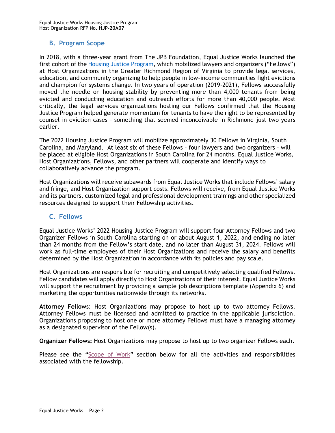#### <span id="page-7-0"></span>**B. Program Scope**

In 2018, with a three-year grant from The JPB Foundation, Equal Justice Works launched the first cohort of the [Housing Justice Program,](https://www.equaljusticeworks.org/news/building-bridges-between-legal-providers-to-disrupt-the-cycle-of-evictions-in-richmond-virginia/) which mobilized lawyers and organizers ("Fellows") at Host Organizations in the Greater Richmond Region of Virginia to provide legal services, education, and community organizing to help people in low-income communities fight evictions and champion for systems change. In two years of operation (2019-2021), Fellows successfully moved the needle on housing stability by preventing more than 4,000 tenants from being evicted and conducting education and outreach efforts for more than 40,000 people. Most critically, the legal services organizations hosting our Fellows confirmed that the Housing Justice Program helped generate momentum for tenants to have the right to be represented by counsel in eviction cases – something that seemed inconceivable in Richmond just two years earlier.

The 2022 Housing Justice Program will mobilize approximately 30 Fellows in Virginia, South Carolina, and Maryland. At least six of these Fellows – four lawyers and two organizers – will be placed at eligible Host Organizations in South Carolina for 24 months. Equal Justice Works, Host Organizations, Fellows, and other partners will cooperate and identify ways to collaboratively advance the program.

Host Organizations will receive subawards from Equal Justice Works that include Fellows' salary and fringe, and Host Organization support costs. Fellows will receive, from Equal Justice Works and its partners, customized legal and professional development trainings and other specialized resources designed to support their Fellowship activities.

#### <span id="page-7-1"></span>**C. Fellows**

Equal Justice Works' 2022 Housing Justice Program will support four Attorney Fellows and two Organizer Fellows in South Carolina starting on or about August 1, 2022, and ending no later than 24 months from the Fellow's start date, and no later than August 31, 2024. Fellows will work as full-time employees of their Host Organizations and receive the salary and benefits determined by the Host Organization in accordance with its policies and pay scale.

Host Organizations are responsible for recruiting and competitively selecting qualified Fellows. Fellow candidates will apply directly to Host Organizations of their interest. Equal Justice Works will support the recruitment by providing a sample job descriptions template (Appendix 6) and marketing the opportunities nationwide through its networks.

**Attorney Fellow**s: Host Organizations may propose to host up to two attorney Fellows. Attorney Fellows must be licensed and admitted to practice in the applicable jurisdiction. Organizations proposing to host one or more attorney Fellows must have a managing attorney as a designated supervisor of the Fellow(s).

**Organizer Fellows:** Host Organizations may propose to host up to two organizer Fellows each.

Please see the "[Scope of Work](#page-8-1)" section below for all the activities and responsibilities associated with the fellowship.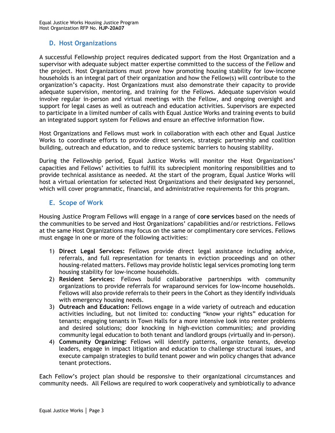#### <span id="page-8-0"></span>**D. Host Organizations**

A successful Fellowship project requires dedicated support from the Host Organization and a supervisor with adequate subject matter expertise committed to the success of the Fellow and the project. Host Organizations must prove how promoting housing stability for low-income households is an integral part of their organization and how the Fellow(s) will contribute to the organization's capacity. Host Organizations must also demonstrate their capacity to provide adequate supervision, mentoring, and training for the Fellows. Adequate supervision would involve regular in-person and virtual meetings with the Fellow, and ongoing oversight and support for legal cases as well as outreach and education activities. Supervisors are expected to participate in a limited number of calls with Equal Justice Works and training events to build an integrated support system for Fellows and ensure an effective information flow.

Host Organizations and Fellows must work in collaboration with each other and Equal Justice Works to coordinate efforts to provide direct services, strategic partnership and coalition building, outreach and education, and to reduce systemic barriers to housing stability.

During the Fellowship period, Equal Justice Works will monitor the Host Organizations' capacities and Fellows' activities to fulfill its subrecipient monitoring responsibilities and to provide technical assistance as needed. At the start of the program, Equal Justice Works will host a virtual orientation for selected Host Organizations and their designated key personnel, which will cover programmatic, financial, and administrative requirements for this program.

#### <span id="page-8-1"></span>**E. Scope of Work**

Housing Justice Program Fellows will engage in a range of **core services** based on the needs of the communities to be served and Host Organizations' capabilities and/or restrictions. Fellows at the same Host Organizations may focus on the same or complimentary core services. Fellows must engage in one or more of the following activities:

- 1) **Direct Legal Services:** Fellows provide direct legal assistance including advice, referrals, and full representation for tenants in eviction proceedings and on other housing-related matters. Fellows may provide holistic legal services promoting long term housing stability for low-income households.
- 2) **Resident Services:** Fellows build collaborative partnerships with community organizations to provide referrals for wraparound services for low-income households. Fellows will also provide referrals to their peers in the Cohort as they identify individuals with emergency housing needs.
- 3) **Outreach and Education:** Fellows engage in a wide variety of outreach and education activities including, but not limited to: conducting "know your rights" education for tenants; engaging tenants in Town Halls for a more intensive look into renter problems and desired solutions; door knocking in high-eviction communities; and providing community legal education to both tenant and landlord groups (virtually and in-person).
- 4) **Community Organizing:** Fellows will identify patterns, organize tenants, develop leaders, engage in impact litigation and education to challenge structural issues, and execute campaign strategies to build tenant power and win policy changes that advance tenant protections.

Each Fellow's project plan should be responsive to their organizational circumstances and community needs. All Fellows are required to work cooperatively and symbiotically to advance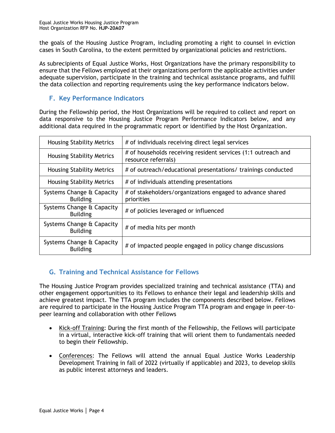the goals of the Housing Justice Program, including promoting a right to counsel in eviction cases in South Carolina, to the extent permitted by organizational policies and restrictions.

As subrecipients of Equal Justice Works, Host Organizations have the primary responsibility to ensure that the Fellows employed at their organizations perform the applicable activities under adequate supervision, participate in the training and technical assistance programs, and fulfill the data collection and reporting requirements using the key performance indicators below.

#### <span id="page-9-0"></span>**F. Key Performance Indicators**

During the Fellowship period, the Host Organizations will be required to collect and report on data responsive to the Housing Justice Program Performance Indicators below, and any additional data required in the programmatic report or identified by the Host Organization.

| <b>Housing Stability Metrics</b>             | # of individuals receiving direct legal services                                     |  |  |
|----------------------------------------------|--------------------------------------------------------------------------------------|--|--|
| <b>Housing Stability Metrics</b>             | # of households receiving resident services (1:1 outreach and<br>resource referrals) |  |  |
| <b>Housing Stability Metrics</b>             | # of outreach/educational presentations/ trainings conducted                         |  |  |
| <b>Housing Stability Metrics</b>             | # of individuals attending presentations                                             |  |  |
| Systems Change & Capacity<br><b>Building</b> | # of stakeholders/organizations engaged to advance shared<br>priorities              |  |  |
| Systems Change & Capacity<br><b>Building</b> | # of policies leveraged or influenced                                                |  |  |
| Systems Change & Capacity<br><b>Building</b> | # of media hits per month                                                            |  |  |
| Systems Change & Capacity<br><b>Building</b> | # of impacted people engaged in policy change discussions                            |  |  |

### <span id="page-9-1"></span>**G. Training and Technical Assistance for Fellows**

The Housing Justice Program provides specialized training and technical assistance (TTA) and other engagement opportunities to its Fellows to enhance their legal and leadership skills and achieve greatest impact. The TTA program includes the components described below. Fellows are required to participate in the Housing Justice Program TTA program and engage in peer-topeer learning and collaboration with other Fellows

- Kick-off Training: During the first month of the Fellowship, the Fellows will participate in a virtual, interactive kick-off training that will orient them to fundamentals needed to begin their Fellowship.
- Conferences: The Fellows will attend the annual Equal Justice Works Leadership Development Training in fall of 2022 (virtually if applicable) and 2023, to develop skills as public interest attorneys and leaders.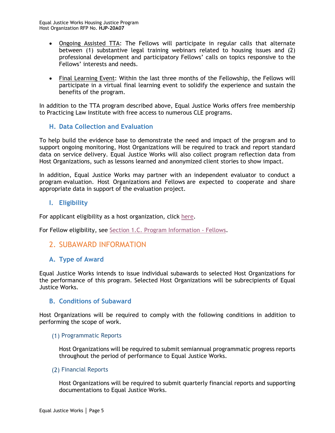- Ongoing Assisted TTA: The Fellows will participate in regular calls that alternate between (1) substantive legal training webinars related to housing issues and (2) professional development and participatory Fellows' calls on topics responsive to the Fellows' interests and needs.
- Final Learning Event: Within the last three months of the Fellowship, the Fellows will participate in a virtual final learning event to solidify the experience and sustain the benefits of the program.

In addition to the TTA program described above, Equal Justice Works offers free membership to Practicing Law Institute with free access to numerous CLE programs.

#### <span id="page-10-0"></span>**H. Data Collection and Evaluation**

To help build the evidence base to demonstrate the need and impact of the program and to support ongoing monitoring, Host Organizations will be required to track and report standard data on service delivery. Equal Justice Works will also collect program reflection data from Host Organizations, such as lessons learned and anonymized client stories to show impact.

In addition, Equal Justice Works may partner with an independent evaluator to conduct a program evaluation. Host Organizations and Fellows are expected to cooperate and share appropriate data in support of the evaluation project.

#### <span id="page-10-1"></span>**I. Eligibility**

For applicant eligibility as a host organization, click [here.](#page-1-1)

For Fellow eligibility, see [Section 1.C. Program Information -](#page-7-1) Fellows.

<span id="page-10-2"></span>2. SUBAWARD INFORMATION

#### <span id="page-10-3"></span>**A. Type of Award**

Equal Justice Works intends to issue individual subawards to selected Host Organizations for the performance of this program. Selected Host Organizations will be subrecipients of Equal Justice Works.

#### <span id="page-10-4"></span>**B. Conditions of Subaward**

Host Organizations will be required to comply with the following conditions in addition to performing the scope of work.

#### <span id="page-10-5"></span>(1) Programmatic Reports

Host Organizations will be required to submit semiannual programmatic progress reports throughout the period of performance to Equal Justice Works.

#### <span id="page-10-6"></span>(2) Financial Reports

Host Organizations will be required to submit quarterly financial reports and supporting documentations to Equal Justice Works.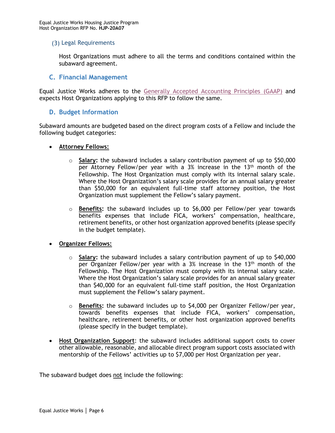#### <span id="page-11-0"></span>(3) Legal Requirements

Host Organizations must adhere to all the terms and conditions contained within the subaward agreement.

#### <span id="page-11-1"></span>**C. Financial Management**

Equal Justice Works adheres to the [Generally Accepted Accounting Principles](https://files.fasab.gov/pdffiles/2020_fasab_handbook.pdf) (GAAP) and expects Host Organizations applying to this RFP to follow the same.

#### <span id="page-11-2"></span>**D. Budget Information**

Subaward amounts are budgeted based on the direct program costs of a Fellow and include the following budget categories:

- **Attorney Fellows:**
	- o **Salary:** the subaward includes a salary contribution payment of up to \$50,000  $\overline{per}$  Attorney Fellow/per year with a 3% increase in the 13<sup>th</sup> month of the Fellowship. The Host Organization must comply with its internal salary scale. Where the Host Organization's salary scale provides for an annual salary greater than \$50,000 for an equivalent full-time staff attorney position, the Host Organization must supplement the Fellow's salary payment.
	- o **Benefits:** the subaward includes up to \$6,000 per Fellow/per year towards benefits expenses that include FICA, workers' compensation, healthcare, retirement benefits, or other host organization approved benefits (please specify in the budget template).

#### • **Organizer Fellows:**

- o **Salary:** the subaward includes a salary contribution payment of up to \$40,000 per Organizer Fellow/per year with a 3% increase in the 13<sup>th</sup> month of the Fellowship. The Host Organization must comply with its internal salary scale. Where the Host Organization's salary scale provides for an annual salary greater than \$40,000 for an equivalent full-time staff position, the Host Organization must supplement the Fellow's salary payment.
- o **Benefits:** the subaward includes up to \$4,000 per Organizer Fellow/per year, towards benefits expenses that include FICA, workers' compensation, healthcare, retirement benefits, or other host organization approved benefits (please specify in the budget template).
- **Host Organization Support**: the subaward includes additional support costs to cover other allowable, reasonable, and allocable direct program support costs associated with mentorship of the Fellows' activities up to \$7,000 per Host Organization per year.

The subaward budget does not include the following: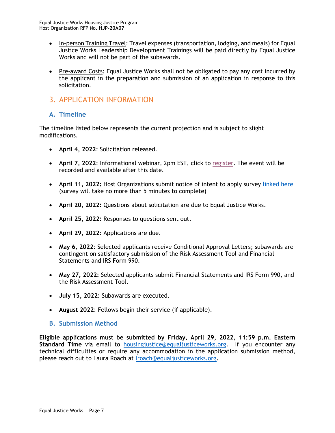- In-person Training Travel: Travel expenses (transportation, lodging, and meals) for Equal Justice Works Leadership Development Trainings will be paid directly by Equal Justice Works and will not be part of the subawards.
- Pre-award Costs: Equal Justice Works shall not be obligated to pay any cost incurred by the applicant in the preparation and submission of an application in response to this solicitation.

# <span id="page-12-0"></span>3. APPLICATION INFORMATION

#### <span id="page-12-1"></span>**A. Timeline**

The timeline listed below represents the current projection and is subject to slight modifications.

- **April 4, 2022**: Solicitation released.
- **April 7, 2022**: Informational webinar, 2pm EST, click to [register.](https://us02web.zoom.us/webinar/register/WN_o3D6F2pBSWyO7B7cZbv-KQ) The event will be recorded and available after this date.
- **April 11, 2022:** Host Organizations submit notice of intent to apply survey [linked here](https://www.surveymonkey.com/r/J268W95) (survey will take no more than 5 minutes to complete)
- **April 20, 2022:** Questions about solicitation are due to Equal Justice Works.
- **April 25, 2022:** Responses to questions sent out.
- **April 29, 2022**: Applications are due.
- **May 6, 2022**: Selected applicants receive Conditional Approval Letters; subawards are contingent on satisfactory submission of the Risk Assessment Tool and Financial Statements and IRS Form 990.
- **May 27, 2022:** Selected applicants submit Financial Statements and IRS Form 990, and the Risk Assessment Tool.
- **July 15, 2022:** Subawards are executed.
- **August 2022**: Fellows begin their service (if applicable).
- <span id="page-12-2"></span>**B. Submission Method**

**Eligible applications must be submitted by Friday, April 29, 2022, 11:59 p.m. Eastern Standard Time** via email to [housingjustice@equaljusticeworks.org.](mailto:housingjustice@equaljusticeworks.org) If you encounter any technical difficulties or require any accommodation in the application submission method, please reach out to Laura Roach at [lroach@equaljusticeworks.org.](mailto:lroach@equaljusticeworks.org)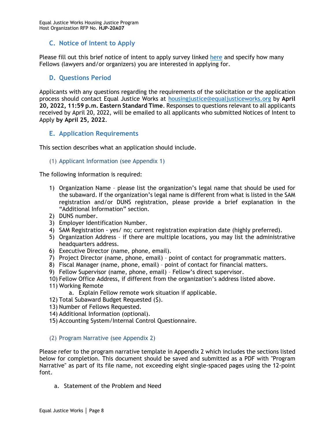#### <span id="page-13-0"></span>**C. Notice of Intent to Apply**

Please fill out this brief notice of intent to apply survey linked [here](https://www.surveymonkey.com/r/J268W95) and specify how many Fellows (lawyers and/or organizers) you are interested in applying for.

#### <span id="page-13-1"></span>**D. Questions Period**

Applicants with any questions regarding the requirements of the solicitation or the application process should contact Equal Justice Works at [housingjustice@equaljusticeworks.org](mailto:housingjustice@equaljusticeworks.org) by **April 20, 2022, 11:59 p.m. Eastern Standard Time**. Responses to questions relevant to all applicants received by April 20, 2022, will be emailed to all applicants who submitted Notices of Intent to Apply **by April 25, 2022**.

#### <span id="page-13-2"></span>**E. Application Requirements**

This section describes what an application should include.

#### <span id="page-13-3"></span>(1) Applicant Information (see Appendix 1)

The following information is required:

- 1) Organization Name please list the organization's legal name that should be used for the subaward. If the organization's legal name is different from what is listed in the SAM registration and/or DUNS registration, please provide a brief explanation in the "Additional Information" section.
- 2) DUNS number.
- 3) Employer Identification Number.
- 4) SAM Registration yes/ no; current registration expiration date (highly preferred).
- 5) Organization Address if there are multiple locations, you may list the administrative headquarters address.
- 6) Executive Director (name, phone, email).
- 7) Project Director (name, phone, email) point of contact for programmatic matters.
- 8) Fiscal Manager (name, phone, email) point of contact for financial matters.
- 9) Fellow Supervisor (name, phone, email) Fellow's direct supervisor.
- 10) Fellow Office Address, if different from the organization's address listed above.
- 11) Working Remote
	- a. Explain Fellow remote work situation if applicable.
- 12) Total Subaward Budget Requested (\$).
- 13) Number of Fellows Requested.
- 14) Additional Information (optional).
- 15) Accounting System/Internal Control Questionnaire.

#### <span id="page-13-4"></span>(2) Program Narrative (see Appendix 2)

Please refer to the program narrative template in Appendix 2 which includes the sections listed below for completion. This document should be saved and submitted as a PDF with "Program Narrative" as part of its file name, not exceeding eight single-spaced pages using the 12-point font.

a. Statement of the Problem and Need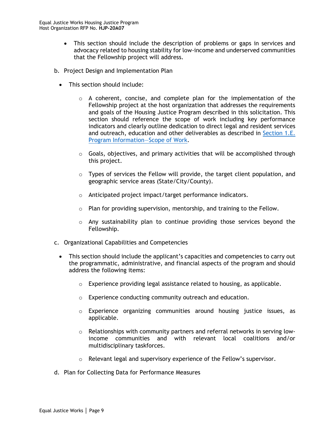- This section should include the description of problems or gaps in services and advocacy related to housing stability for low-income and underserved communities that the Fellowship project will address.
- b. Project Design and Implementation Plan
	- This section should include:
		- $\circ$  A coherent, concise, and complete plan for the implementation of the Fellowship project at the host organization that addresses the requirements and goals of the Housing Justice Program described in this solicitation. This section should reference the scope of work including key performance indicators and clearly outline dedication to direct legal and resident services and outreach, education and other deliverables as described in [Section 1.E.](#page-8-1)  [Program Information](#page-8-1)—Scope of Work.
		- $\circ$  Goals, objectives, and primary activities that will be accomplished through this project.
		- $\circ$  Types of services the Fellow will provide, the target client population, and geographic service areas (State/City/County).
		- o Anticipated project impact/target performance indicators.
		- o Plan for providing supervision, mentorship, and training to the Fellow.
		- $\circ$  Any sustainability plan to continue providing those services beyond the Fellowship.
- c. Organizational Capabilities and Competencies
	- This section should include the applicant's capacities and competencies to carry out the programmatic, administrative, and financial aspects of the program and should address the following items:
		- o Experience providing legal assistance related to housing, as applicable.
		- o Experience conducting community outreach and education.
		- o Experience organizing communities around housing justice issues, as applicable.
		- $\circ$  Relationships with community partners and referral networks in serving lowincome communities and with relevant local coalitions and/or multidisciplinary taskforces.
		- $\circ$  Relevant legal and supervisory experience of the Fellow's supervisor.
- d. Plan for Collecting Data for Performance Measures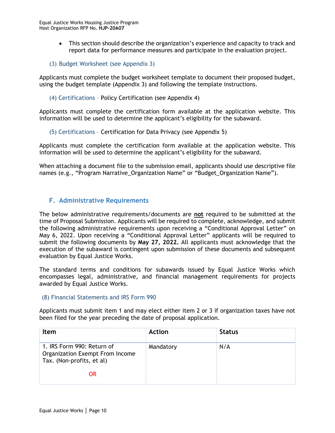- This section should describe the organization's experience and capacity to track and report data for performance measures and participate in the evaluation project.
- <span id="page-15-0"></span>(3) Budget Worksheet (see Appendix 3)

Applicants must complete the budget worksheet template to document their proposed budget, using the budget template (Appendix 3) and following the template instructions.

#### <span id="page-15-1"></span>(4) Certifications – Policy Certification (see Appendix 4)

Applicants must complete the certification form available at the application website. This information will be used to determine the applicant's eligibility for the subaward.

<span id="page-15-2"></span>(5) Certifications – Certification for Data Privacy (see Appendix 5)

Applicants must complete the certification form available at the application website. This information will be used to determine the applicant's eligibility for the subaward.

When attaching a document file to the submission email, applicants should use descriptive file names (e.g., "Program Narrative\_Organization Name" or "Budget\_Organization Name").

#### <span id="page-15-3"></span>**F. Administrative Requirements**

The below administrative requirements/documents are **not** required to be submitted at the time of Proposal Submission. Applicants will be required to complete, acknowledge, and submit the following administrative requirements upon receiving a "Conditional Approval Letter" on May 6, 2022. Upon receiving a "Conditional Approval Letter" applicants will be required to submit the following documents by **May 27, 2022.** All applicants must acknowledge that the execution of the subaward is contingent upon submission of these documents and subsequent evaluation by Equal Justice Works.

The standard terms and conditions for subawards issued by Equal Justice Works which encompasses legal, administrative, and financial management requirements for projects awarded by Equal Justice Works.

#### <span id="page-15-4"></span>(8) Financial Statements and IRS Form 990

Applicants must submit item 1 and may elect either item 2 or 3 if organization taxes have not been filed for the year preceding the date of proposal application.

| Item                                                                                       | <b>Action</b> | <b>Status</b> |
|--------------------------------------------------------------------------------------------|---------------|---------------|
| 1. IRS Form 990: Return of<br>Organization Exempt From Income<br>Tax. (Non-profits, et al) | Mandatory     | N/A           |
| OR                                                                                         |               |               |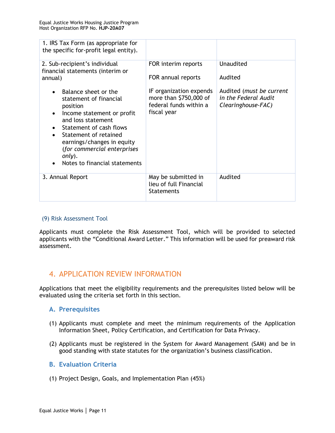| 1. IRS Tax Form (as appropriate for<br>the specific for-profit legal entity).                                                                                                                                                                                                                                                                                                        |                                                                                                                                         |                                                                                                |
|--------------------------------------------------------------------------------------------------------------------------------------------------------------------------------------------------------------------------------------------------------------------------------------------------------------------------------------------------------------------------------------|-----------------------------------------------------------------------------------------------------------------------------------------|------------------------------------------------------------------------------------------------|
| 2. Sub-recipient's individual<br>financial statements (interim or<br>annual)<br>Balance sheet or the<br>statement of financial<br>position<br>Income statement or profit<br>$\bullet$<br>and loss statement<br>Statement of cash flows<br>Statement of retained<br>$\bullet$<br>earnings/changes in equity<br>(for commercial enterprises<br>only).<br>Notes to financial statements | FOR interim reports<br>FOR annual reports<br>IF organization expends<br>more than \$750,000 of<br>federal funds within a<br>fiscal year | Unaudited<br>Audited<br>Audited (must be current<br>in the Federal Audit<br>Clearinghouse-FAC) |
| 3. Annual Report                                                                                                                                                                                                                                                                                                                                                                     | May be submitted in<br>lieu of full Financial<br><b>Statements</b>                                                                      | Audited                                                                                        |

#### <span id="page-16-0"></span>(9) Risk Assessment Tool

Applicants must complete the Risk Assessment Tool, which will be provided to selected applicants with the "Conditional Award Letter." This information will be used for preaward risk assessment.

# <span id="page-16-1"></span>4. APPLICATION REVIEW INFORMATION

Applications that meet the eligibility requirements and the prerequisites listed below will be evaluated using the criteria set forth in this section.

#### <span id="page-16-2"></span>**A. Prerequisites**

- (1) Applicants must complete and meet the minimum requirements of the Application Information Sheet, Policy Certification, and Certification for Data Privacy.
- (2) Applicants must be registered in the System for Award Management (SAM) and be in good standing with state statutes for the organization's business classification.

#### <span id="page-16-3"></span>**B. Evaluation Criteria**

(1) Project Design, Goals, and Implementation Plan (45%)